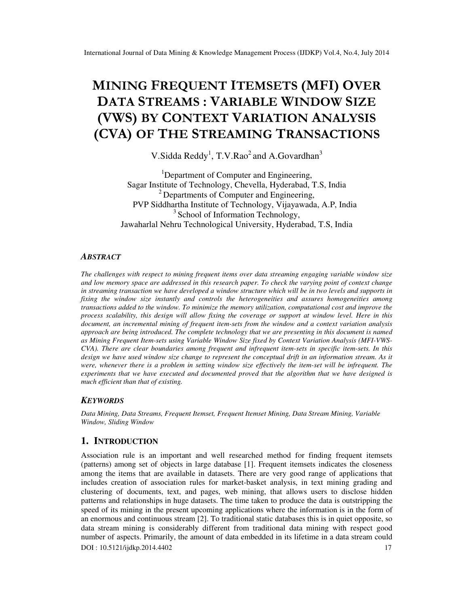# MINING FREQUENT ITEMSETS (MFI) OVER DATA STREAMS : VARIABLE WINDOW SIZE (VWS) BY CONTEXT VARIATION ANALYSIS (CVA) OF THE STREAMING TRANSACTIONS

V. Sidda Reddy<sup>1</sup>, T.V. Rao<sup>2</sup> and A. Govardhan<sup>3</sup>

<sup>1</sup>Department of Computer and Engineering, Sagar Institute of Technology, Chevella, Hyderabad, T.S, India <sup>2</sup> Departments of Computer and Engineering, PVP Siddhartha Institute of Technology, Vijayawada, A.P, India  $3$  School of Information Technology, Jawaharlal Nehru Technological University, Hyderabad, T.S, India

# *ABSTRACT*

*The challenges with respect to mining frequent items over data streaming engaging variable window size and low memory space are addressed in this research paper. To check the varying point of context change in streaming transaction we have developed a window structure which will be in two levels and supports in fixing the window size instantly and controls the heterogeneities and assures homogeneities among transactions added to the window. To minimize the memory utilization, computational cost and improve the process scalability, this design will allow fixing the coverage or support at window level. Here in this document, an incremental mining of frequent item-sets from the window and a context variation analysis approach are being introduced. The complete technology that we are presenting in this document is named as Mining Frequent Item-sets using Variable Window Size fixed by Context Variation Analysis (MFI-VWS-CVA). There are clear boundaries among frequent and infrequent item-sets in specific item-sets. In this*  design we have used window size change to represent the conceptual drift in an information stream. As it *were, whenever there is a problem in setting window size effectively the item-set will be infrequent. The experiments that we have executed and documented proved that the algorithm that we have designed is much efficient than that of existing.* 

## *KEYWORDS*

*Data Mining, Data Streams, Frequent Itemset, Frequent Itemset Mining, Data Stream Mining, Variable Window, Sliding Window*

# **1. INTRODUCTION**

DOI : 10.5121/ijdkp.2014.4402 17 Association rule is an important and well researched method for finding frequent itemsets (patterns) among set of objects in large database [1]. Frequent itemsets indicates the closeness among the items that are available in datasets. There are very good range of applications that includes creation of association rules for market-basket analysis, in text mining grading and clustering of documents, text, and pages, web mining, that allows users to disclose hidden patterns and relationships in huge datasets. The time taken to produce the data is outstripping the speed of its mining in the present upcoming applications where the information is in the form of an enormous and continuous stream [2]. To traditional static databases this is in quiet opposite, so data stream mining is considerably different from traditional data mining with respect good number of aspects. Primarily, the amount of data embedded in its lifetime in a data stream could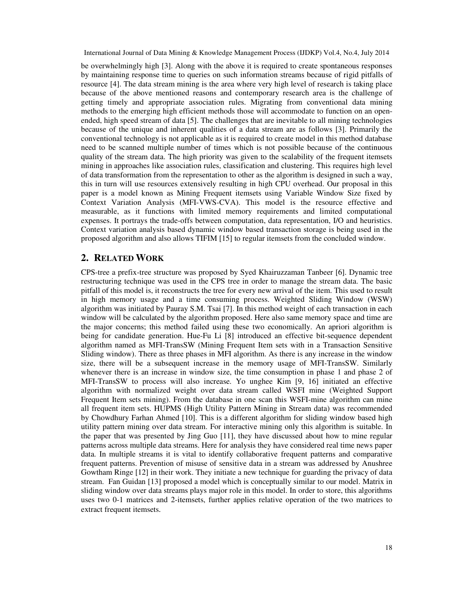be overwhelmingly high [3]. Along with the above it is required to create spontaneous responses by maintaining response time to queries on such information streams because of rigid pitfalls of resource [4]. The data stream mining is the area where very high level of research is taking place because of the above mentioned reasons and contemporary research area is the challenge of getting timely and appropriate association rules. Migrating from conventional data mining methods to the emerging high efficient methods those will accommodate to function on an openended, high speed stream of data [5]. The challenges that are inevitable to all mining technologies because of the unique and inherent qualities of a data stream are as follows [3]. Primarily the conventional technology is not applicable as it is required to create model in this method database need to be scanned multiple number of times which is not possible because of the continuous quality of the stream data. The high priority was given to the scalability of the frequent itemsets mining in approaches like association rules, classification and clustering. This requires high level of data transformation from the representation to other as the algorithm is designed in such a way, this in turn will use resources extensively resulting in high CPU overhead. Our proposal in this paper is a model known as Mining Frequent itemsets using Variable Window Size fixed by Context Variation Analysis (MFI-VWS-CVA). This model is the resource effective and measurable, as it functions with limited memory requirements and limited computational expenses. It portrays the trade-offs between computation, data representation, I/O and heuristics. Context variation analysis based dynamic window based transaction storage is being used in the proposed algorithm and also allows TIFIM [15] to regular itemsets from the concluded window.

# **2. RELATED WORK**

CPS-tree a prefix-tree structure was proposed by Syed Khairuzzaman Tanbeer [6]. Dynamic tree restructuring technique was used in the CPS tree in order to manage the stream data. The basic pitfall of this model is, it reconstructs the tree for every new arrival of the item. This used to result in high memory usage and a time consuming process. Weighted Sliding Window (WSW) algorithm was initiated by Pauray S.M. Tsai [7]. In this method weight of each transaction in each window will be calculated by the algorithm proposed. Here also same memory space and time are the major concerns; this method failed using these two economically. An apriori algorithm is being for candidate generation. Hue-Fu Li [8] introduced an effective bit-sequence dependent algorithm named as MFI-TransSW (Mining Frequent Item sets with in a Transaction Sensitive Sliding window). There as three phases in MFI algorithm. As there is any increase in the window size, there will be a subsequent increase in the memory usage of MFI-TransSW. Similarly whenever there is an increase in window size, the time consumption in phase 1 and phase 2 of MFI-TransSW to process will also increase. Yo unghee Kim [9, 16] initiated an effective algorithm with normalized weight over data stream called WSFI mine (Weighted Support Frequent Item sets mining). From the database in one scan this WSFI-mine algorithm can mine all frequent item sets. HUPMS (High Utility Pattern Mining in Stream data) was recommended by Chowdhury Farhan Ahmed [10]. This is a different algorithm for sliding window based high utility pattern mining over data stream. For interactive mining only this algorithm is suitable. In the paper that was presented by Jing Guo [11], they have discussed about how to mine regular patterns across multiple data streams. Here for analysis they have considered real time news paper data. In multiple streams it is vital to identify collaborative frequent patterns and comparative frequent patterns. Prevention of misuse of sensitive data in a stream was addressed by Anushree Gowtham Ringe [12] in their work. They initiate a new technique for guarding the privacy of data stream. Fan Guidan [13] proposed a model which is conceptually similar to our model. Matrix in sliding window over data streams plays major role in this model. In order to store, this algorithms uses two 0-1 matrices and 2-itemsets, further applies relative operation of the two matrices to extract frequent itemsets.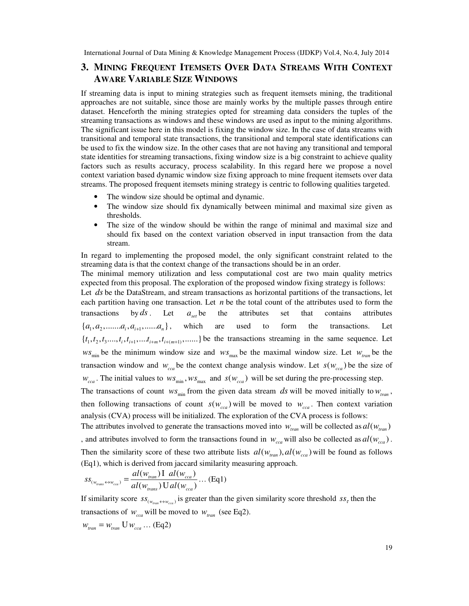# **3. MINING FREQUENT ITEMSETS OVER DATA STREAMS WITH CONTEXT AWARE VARIABLE SIZE WINDOWS**

If streaming data is input to mining strategies such as frequent itemsets mining, the traditional approaches are not suitable, since those are mainly works by the multiple passes through entire dataset. Henceforth the mining strategies opted for streaming data considers the tuples of the streaming transactions as windows and these windows are used as input to the mining algorithms. The significant issue here in this model is fixing the window size. In the case of data streams with transitional and temporal state transactions, the transitional and temporal state identifications can be used to fix the window size. In the other cases that are not having any transitional and temporal state identities for streaming transactions, fixing window size is a big constraint to achieve quality factors such as results accuracy, process scalability. In this regard here we propose a novel context variation based dynamic window size fixing approach to mine frequent itemsets over data streams. The proposed frequent itemsets mining strategy is centric to following qualities targeted.

- The window size should be optimal and dynamic.
- The window size should fix dynamically between minimal and maximal size given as thresholds.
- The size of the window should be within the range of minimal and maximal size and should fix based on the context variation observed in input transaction from the data stream.

In regard to implementing the proposed model, the only significant constraint related to the streaming data is that the context change of the transactions should be in an order.

The minimal memory utilization and less computational cost are two main quality metrics expected from this proposal. The exploration of the proposed window fixing strategy is follows:

Let *ds* be the DataStream, and stream transactions as horizontal partitions of the transactions, let each partition having one transaction. Let *n* be the total count of the attributes used to form the transactions by  $ds$ . Let  $a_{set}$  be the attributes set that contains attributes  $\{a_1, a_2, \ldots, a_i, a_{i+1}, \ldots, a_n\},$  which are used to form the transactions. Let  $\{t_1, t_2, t_3, \ldots, t_i, t_{i+1}, \ldots, t_{i+m}, t_{i+(m+1)}, \ldots \}$  be the transactions streaming in the same sequence. Let  $ws_{\text{min}}$  be the minimum window size and  $ws_{\text{max}}$  be the maximal window size. Let  $w_{\text{tran}}$  be the transaction window and  $w_{cca}$  be the context change analysis window. Let  $s(w_{cca})$  be the size of  $w_{cca}$ . The initial values to  $ws_{min}$ ,  $ws_{max}$  and  $s(w_{cca})$  will be set during the pre-processing step.

The transactions of count  $ws_{\text{min}}$  from the given data stream *ds* will be moved initially to  $w_{\text{train}}$ , then following transactions of count  $s(w_{cca})$  will be moved to  $w_{cca}$ . Then context variation analysis (CVA) process will be initialized. The exploration of the CVA process is follows:

The attributes involved to generate the transactions moved into  $w_{ran}$  will be collected as  $al(w_{ran})$ , and attributes involved to form the transactions found in  $w_{cca}$  will also be collected as  $al(w_{cca})$ . Then the similarity score of these two attribute lists  $d(w_{tran})$ ,  $d(w_{cca})$  will be found as follows (Eq1), which is derived from jaccard similarity measuring approach.

$$
ss_{(w_{trans}\leftrightarrow w_{cca})} = \frac{al(w_{tran})I \ al(w_{cca})}{al(w_{trans})Ual(w_{cca})} \dots (Eq1)
$$

If similarity score  $ss_{(w_{\text{trans}} \leftrightarrow w_{\text{cca}})}$  is greater than the given similarity score threshold  $ss_{\tau}$  then the transactions of  $w_{cca}$  will be moved to  $w_{tran}$  (see Eq2).

 $w_{tran} = w_{tran}$  **U**  $w_{cca}$  ... (Eq2)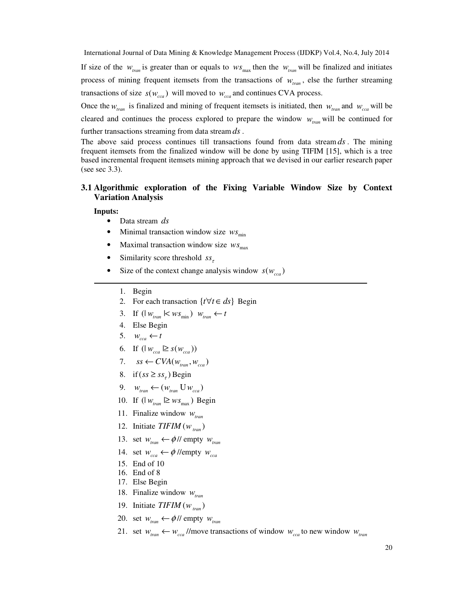If size of the  $w_{tran}$  is greater than or equals to  $ws_{max}$  then the  $w_{tran}$  will be finalized and initiates process of mining frequent itemsets from the transactions of  $w_{tran}$ , else the further streaming transactions of size  $s(w_{cca})$  will moved to  $w_{cca}$  and continues CVA process.

Once the  $w_{tran}$  is finalized and mining of frequent itemsets is initiated, then  $w_{tran}$  and  $w_{cca}$  will be cleared and continues the process explored to prepare the window *wtran* will be continued for further transactions streaming from data stream *ds* .

The above said process continues till transactions found from data stream *ds* . The mining frequent itemsets from the finalized window will be done by using TIFIM [15], which is a tree based incremental frequent itemsets mining approach that we devised in our earlier research paper (see sec 3.3).

# **3.1 Algorithmic exploration of the Fixing Variable Window Size by Context Variation Analysis**

#### **Inputs:**

- Data stream *ds*
- Minimal transaction window size  $ws_{\text{min}}$
- Maximal transaction window size  $ws_{\text{max}}$
- Similarity score threshold *ss*<sub>τ</sub>
- Size of the context change analysis window  $s(w_{cca})$ 
	- 1. Begin
	- 2. For each transaction  $\{ t \forall t \in ds \}$  Begin
	- 3. If  $(| w_{\text{tran}} | < w s_{\text{min}}) w_{\text{tran}} \leftarrow t$
	- 4. Else Begin
	- 5.  $w_{cca} \leftarrow t$
	- 6. If  $(|w_{cca}| \ge s(w_{cca}))$
	- 7.  $ss \leftarrow CVA(w_{tran}, w_{cca})$
	- 8. if  $(ss \geq ss)$  Begin
	- 9.  $w_{\text{tran}} \leftarrow ( w_{\text{tran}} \cup w_{\text{cca}} )$
	- 10. If  $\left(\frac{1}{w_{\text{tran}}} \geq w_{\text{S}_{\text{max}}}\right)$  Begin
	- 11. Finalize window *wtran*
	- 12. Initiate  $TIFIM(w_{tran})$
	- 13. set  $w_{tran} \leftarrow \phi$ // empty  $w_{tran}$
	- 14. set  $w_{cca} \leftarrow \phi$  //empty  $w_{cca}$
	- 15. End of 10
	- 16. End of 8
	- 17. Else Begin
	- 18. Finalize window *wtran*
	- 19. Initiate  $TIFIM(w_{tran})$
	- 20. set  $w_{tran} \leftarrow \phi$ // empty  $w_{tran}$
	- 21. set  $w_{tran} \leftarrow w_{cca}$  //move transactions of window  $w_{cca}$  to new window  $w_{tran}$

 $\overline{a}$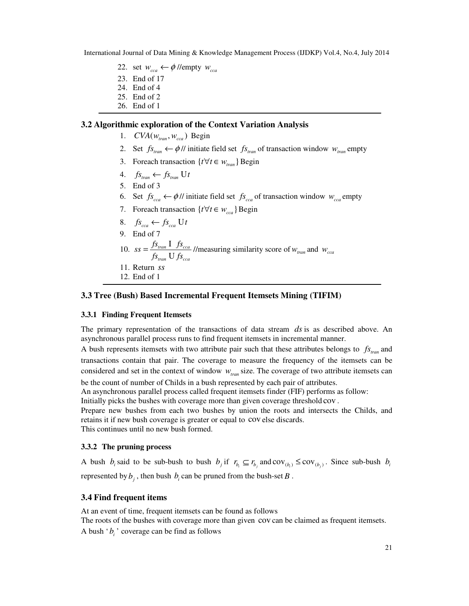- 22. set  $w_{cca} \leftarrow \phi$  //empty  $w_{cca}$
- 23. End of 17
- 24. End of 4
- 25. End of 2
- 26. End of 1

## **3.2 Algorithmic exploration of the Context Variation Analysis**

- 1.  $CVA(w_{tran}, w_{cca})$  Begin
- 2. Set  $f_{s_{ran}} \leftarrow \phi$  // initiate field set  $f_{s_{ran}}$  of transaction window  $w_{ran}$  empty
- 3. Foreach transaction  $\{ t \forall t \in W_{tran} \}$  Begin
- 4.  $f_{s_{tran}} \leftarrow f_{s_{tran}} U t$
- 5. End of 3
- 6. Set  $f_{cca} \leftarrow \phi$  // initiate field set  $f_{cca}$  of transaction window  $w_{cca}$  empty
- 7. Foreach transaction  $\{ t \forall t \in W_{cca} \}$  Begin
- 8.  $f_{s_{cca}} \leftarrow f_{s_{cca}} \cup t$ 9. End of 7 10.  $ss = \frac{J^3 \tan 1 + J^3 \cos 2a}{2 \cos 2a}$ *tran cca*  $ss = \frac{fs_{tran} \cdot 1 \cdot fs}{s_{trans}}$  $f_{s_{tran}} U f_{s}$  $=\frac{fs_{tran}}{s}$  $\frac{V \cdot y_{\text{ceca}}}{V f s_{\text{ceca}}}$  //measuring similarity score of  $w_{\text{tran}}$  and  $w_{\text{ceca}}$ 11. Return *ss*
- 12. End of 1

# **3.3 Tree (Bush) Based Incremental Frequent Itemsets Mining (TIFIM)**

# **3.3.1 Finding Frequent Itemsets**

The primary representation of the transactions of data stream *ds* is as described above. An asynchronous parallel process runs to find frequent itemsets in incremental manner.

A bush represents itemsets with two attribute pair such that these attributes belongs to  $f_{s_{tran}}$  and transactions contain that pair. The coverage to measure the frequency of the itemsets can be considered and set in the context of window  $w_{\text{tran}}$  size. The coverage of two attribute itemsets can be the count of number of Childs in a bush represented by each pair of attributes.

An asynchronous parallel process called frequent itemsets finder (FIF) performs as follow:

Initially picks the bushes with coverage more than given coverage threshold cov .

Prepare new bushes from each two bushes by union the roots and intersects the Childs, and retains it if new bush coverage is greater or equal to cov else discards. This continues until no new bush formed.

# **3.3.2 The pruning process**

A bush  $b_i$  said to be sub-bush to bush  $b_j$  if  $r_{b_i} \subseteq r_{b_j}$  and  $cov_{(b_i)} \le cov_{(b_j)}$ . Since sub-bush  $b_i$ represented by  $b_j$ , then bush  $b_i$  can be pruned from the bush-set *B*.

# **3.4 Find frequent items**

At an event of time, frequent itemsets can be found as follows The roots of the bushes with coverage more than given cov can be claimed as frequent itemsets. A bush  $b_i$  ' coverage can be find as follows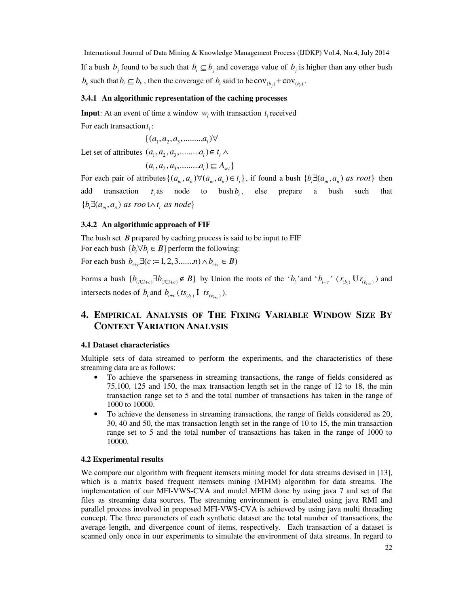International Journal of Data Mining & Knowledge Management Process (IJDKP) Vol.4, No.4, July 2014 If a bush  $b_j$  found to be such that  $b_i \subseteq b_j$  and coverage value of  $b_j$  is higher than any other bush  $b_k$  such that  $b_i \subseteq b_k$ , then the coverage of  $b_i$  said to be  $cov_{(b_i)} + cov_{(b_i)}$ .

#### **3.4.1 An algorithmic representation of the caching processes**

**Input**: At an event of time a window  $w_i$  with transaction  $t_i$  received For each transaction  $t_i$ :

$$
\{(a_1, a_2, a_3, \dots, a_i)\forall
$$

Let set of attributes  $(a_1, a_2, a_3, \dots, a_i) \in t_i \wedge$ 

$$
(a1, a2, a3, \dots, ai) \subseteq Aset \}
$$

For each pair of attributes  $\{(a_m, a_n) \forall (a_m, a_n) \in t_i\}$ , if found a bush  $\{b_i \exists (a_m, a_n)$  as root} then add transaction  $t_i$  as node to bush  $b_i$ , else prepare a bush such that  ${b,\exists (a_m,a_n) \text{ as root} \wedge t_i \text{ as node}}$ 

# **3.4.2 An algorithmic approach of FIF**

The bush set *B* prepared by caching process is said to be input to FIF For each bush  $\{b_i \forall b_i \in B\}$  perform the following:

For each bush  $b_{i+c} \exists (c := 1, 2, 3, \dots, n) \land b_{i+c} \in B)$ 

Forms a bush  $\{b_{(i\text{U}i+c)} \exists b_{(i\text{U}i+c)} \notin B\}$  by Union the roots of the ' $b_i$ ' and ' $b_{i+c}$ '  $(r_{(b_i)} \text{U} r_{(b_{i+c})})$  and intersects nodes of  $b_i$  and  $b_{i+c}$  ( $ts_{(b_i)}$  I  $ts_{(b_{i+c})}$ ).

# **4. EMPIRICAL ANALYSIS OF THE FIXING VARIABLE WINDOW SIZE BY CONTEXT VARIATION ANALYSIS**

## **4.1 Dataset characteristics**

Multiple sets of data streamed to perform the experiments, and the characteristics of these streaming data are as follows:

- To achieve the sparseness in streaming transactions, the range of fields considered as 75,100, 125 and 150, the max transaction length set in the range of 12 to 18, the min transaction range set to 5 and the total number of transactions has taken in the range of 1000 to 10000.
- To achieve the denseness in streaming transactions, the range of fields considered as 20, 30, 40 and 50, the max transaction length set in the range of 10 to 15, the min transaction range set to 5 and the total number of transactions has taken in the range of 1000 to 10000.

## **4.2 Experimental results**

We compare our algorithm with frequent itemsets mining model for data streams devised in [13], which is a matrix based frequent itemsets mining (MFIM) algorithm for data streams. The implementation of our MFI-VWS-CVA and model MFIM done by using java 7 and set of flat files as streaming data sources. The streaming environment is emulated using java RMI and parallel process involved in proposed MFI-VWS-CVA is achieved by using java multi threading concept. The three parameters of each synthetic dataset are the total number of transactions, the average length, and divergence count of items, respectively. Each transaction of a dataset is scanned only once in our experiments to simulate the environment of data streams. In regard to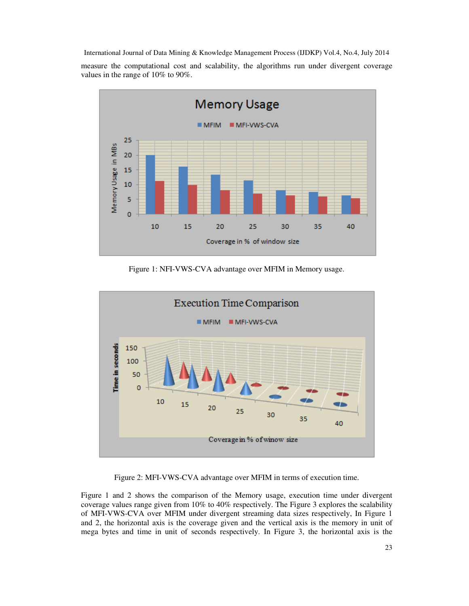measure the computational cost and scalability, the algorithms run under divergent coverage values in the range of 10% to 90%.



Figure 1: NFI-VWS-CVA advantage over MFIM in Memory usage.



Figure 2: MFI-VWS-CVA advantage over MFIM in terms of execution time.

Figure 1 and 2 shows the comparison of the Memory usage, execution time under divergent coverage values range given from 10% to 40% respectively. The Figure 3 explores the scalability of MFI-VWS-CVA over MFIM under divergent streaming data sizes respectively, In Figure 1 and 2, the horizontal axis is the coverage given and the vertical axis is the memory in unit of mega bytes and time in unit of seconds respectively. In Figure 3, the horizontal axis is the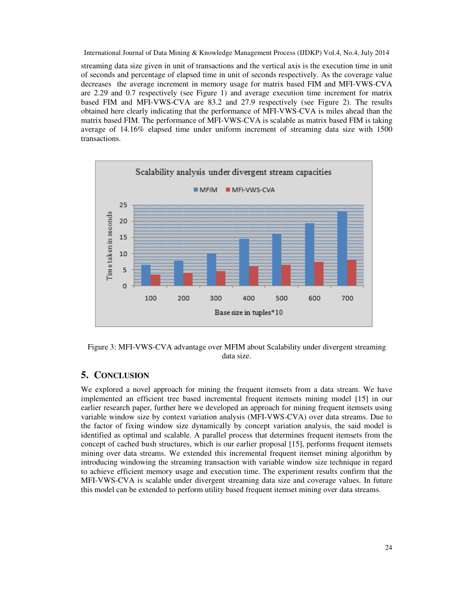streaming data size given in unit of transactions and the vertical axis is the execution time in unit of seconds and percentage of elapsed time in unit of seconds respectively. As the coverage value decreases the average increment in memory usage for matrix based FIM and MFI-VWS-CVA are 2.29 and 0.7 respectively (see Figure 1) and average execution time increment for matrix based FIM and MFI-VWS-CVA are 83.2 and 27.9 respectively (see Figure 2). The results obtained here clearly indicating that the performance of MFI-VWS-CVA is miles ahead than the matrix based FIM. The performance of MFI-VWS-CVA is scalable as matrix based FIM is taking average of 14.16% elapsed time under uniform increment of streaming data size with 1500 transactions.



Figure 3: MFI-VWS-CVA advantage over MFIM about Scalability under divergent streaming data size.

# **5. CONCLUSION**

We explored a novel approach for mining the frequent itemsets from a data stream. We have implemented an efficient tree based incremental frequent itemsets mining model [15] in our earlier research paper, further here we developed an approach for mining frequent itemsets using variable window size by context variation analysis (MFI-VWS-CVA) over data streams. Due to the factor of fixing window size dynamically by concept variation analysis, the said model is identified as optimal and scalable. A parallel process that determines frequent itemsets from the concept of cached bush structures, which is our earlier proposal [15], performs frequent itemsets mining over data streams. We extended this incremental frequent itemset mining algorithm by introducing windowing the streaming transaction with variable window size technique in regard to achieve efficient memory usage and execution time. The experiment results confirm that the MFI-VWS-CVA is scalable under divergent streaming data size and coverage values. In future this model can be extended to perform utility based frequent itemset mining over data streams.